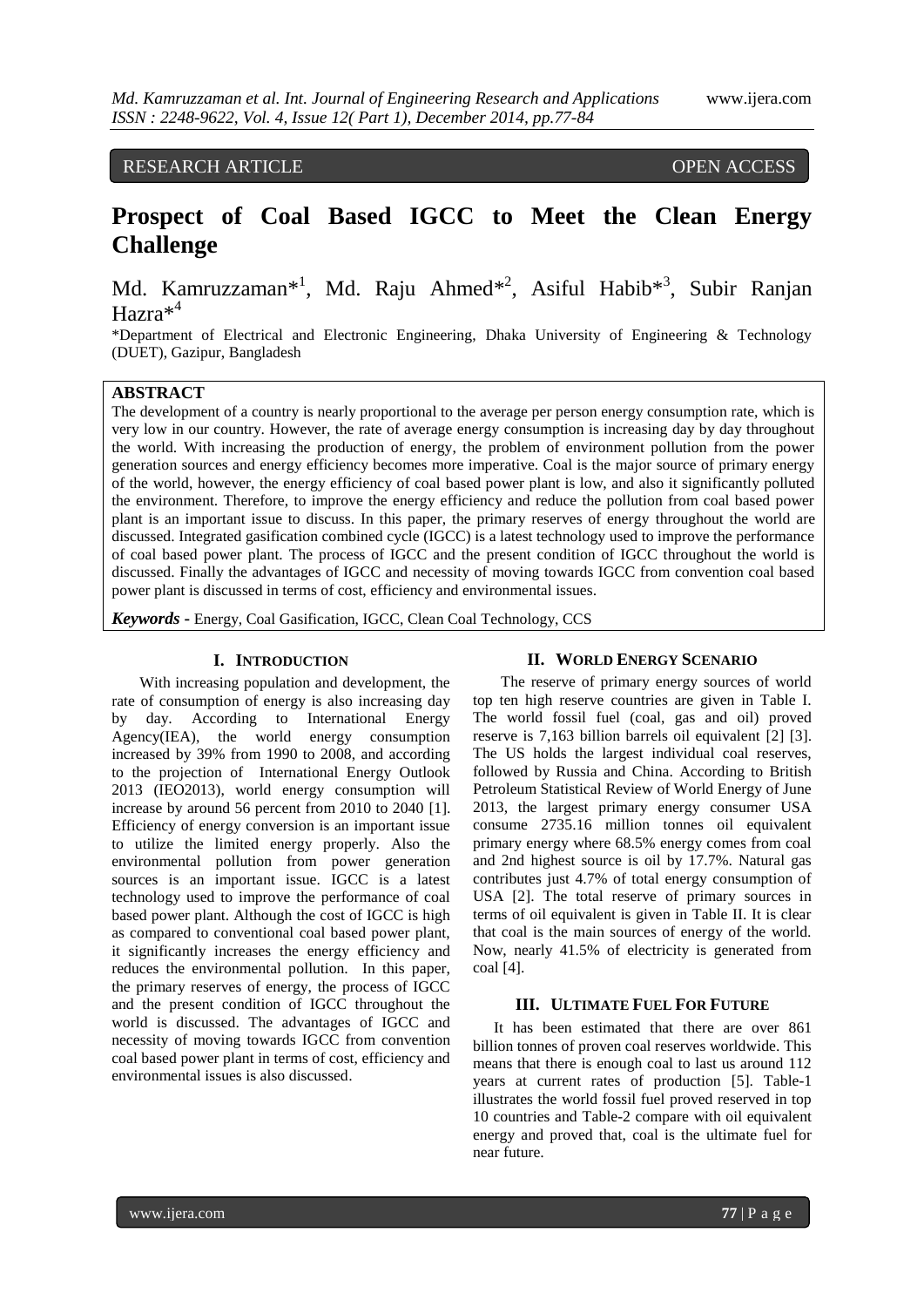# RESEARCH ARTICLE OPEN ACCESS

# **Prospect of Coal Based IGCC to Meet the Clean Energy Challenge**

Md. Kamruzzaman<sup>\*1</sup>, Md. Raju Ahmed<sup>\*2</sup>, Asiful Habib<sup>\*3</sup>, Subir Ranjan Hazra<sup>\*4</sup>

\*Department of Electrical and Electronic Engineering, Dhaka University of Engineering & Technology (DUET), Gazipur, Bangladesh

# **ABSTRACT**

The development of a country is nearly proportional to the average per person energy consumption rate, which is very low in our country. However, the rate of average energy consumption is increasing day by day throughout the world. With increasing the production of energy, the problem of environment pollution from the power generation sources and energy efficiency becomes more imperative. Coal is the major source of primary energy of the world, however, the energy efficiency of coal based power plant is low, and also it significantly polluted the environment. Therefore, to improve the energy efficiency and reduce the pollution from coal based power plant is an important issue to discuss. In this paper, the primary reserves of energy throughout the world are discussed. Integrated gasification combined cycle (IGCC) is a latest technology used to improve the performance of coal based power plant. The process of IGCC and the present condition of IGCC throughout the world is discussed. Finally the advantages of IGCC and necessity of moving towards IGCC from convention coal based power plant is discussed in terms of cost, efficiency and environmental issues.

*Keywords* **-** Energy, Coal Gasification, IGCC, Clean Coal Technology, CCS

# **I. INTRODUCTION**

With increasing population and development, the rate of consumption of energy is also increasing day by day. According to International Energy Agency(IEA), the world energy consumption increased by 39% from 1990 to 2008, and according to the projection of International Energy Outlook 2013 (IEO2013), world energy consumption will increase by around 56 percent from 2010 to 2040 [1]. Efficiency of energy conversion is an important issue to utilize the limited energy properly. Also the environmental pollution from power generation sources is an important issue. IGCC is a latest technology used to improve the performance of coal based power plant. Although the cost of IGCC is high as compared to conventional coal based power plant, it significantly increases the energy efficiency and reduces the environmental pollution. In this paper, the primary reserves of energy, the process of IGCC and the present condition of IGCC throughout the world is discussed. The advantages of IGCC and necessity of moving towards IGCC from convention coal based power plant in terms of cost, efficiency and environmental issues is also discussed.

# **II. WORLD ENERGY SCENARIO**

The reserve of primary energy sources of world top ten high reserve countries are given in Table I. The world fossil fuel (coal, gas and oil) proved reserve is 7,163 billion barrels oil equivalent [2] [3]. The US holds the largest individual coal reserves, followed by Russia and China. According to British Petroleum Statistical Review of World Energy of June 2013, the largest primary energy consumer USA consume 2735.16 million tonnes oil equivalent primary energy where 68.5% energy comes from coal and 2nd highest source is oil by 17.7%. Natural gas contributes just 4.7% of total energy consumption of USA [2]. The total reserve of primary sources in terms of oil equivalent is given in Table II. It is clear that coal is the main sources of energy of the world. Now, nearly 41.5% of electricity is generated from coal [4].

# **III. ULTIMATE FUEL FOR FUTURE**

It has been estimated that there are over 861 billion tonnes of proven coal reserves worldwide. This means that there is enough coal to last us around 112 years at current rates of production [5]. Table-1 illustrates the world fossil fuel proved reserved in top 10 countries and Table-2 compare with oil equivalent energy and proved that, coal is the ultimate fuel for near future.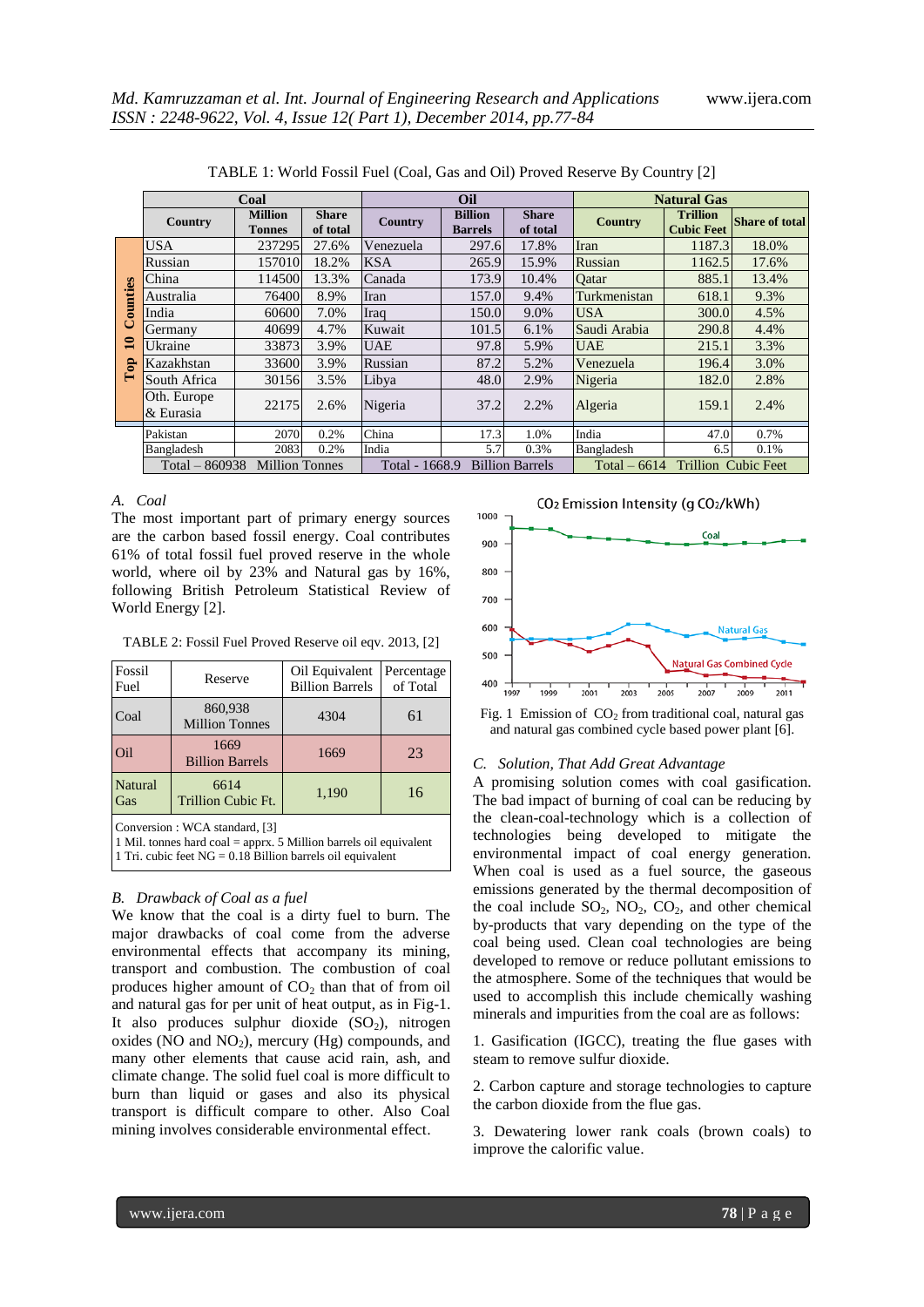|                                      | Coal                     |                                                                                       |                          | Oil                                         |                                  |                          | <b>Natural Gas</b> |                                      |                       |
|--------------------------------------|--------------------------|---------------------------------------------------------------------------------------|--------------------------|---------------------------------------------|----------------------------------|--------------------------|--------------------|--------------------------------------|-----------------------|
|                                      | Country                  | <b>Million</b><br><b>Tonnes</b>                                                       | <b>Share</b><br>of total | Country                                     | <b>Billion</b><br><b>Barrels</b> | <b>Share</b><br>of total | <b>Country</b>     | <b>Trillion</b><br><b>Cubic Feet</b> | <b>Share of total</b> |
|                                      | <b>USA</b>               | 237295                                                                                | 27.6%                    | Venezuela                                   | 297.6                            | 17.8%                    | Iran               | 1187.3                               | 18.0%                 |
|                                      | Russian                  | 157010                                                                                | 18.2%                    | <b>KSA</b>                                  | 265.9                            | 15.9%                    | Russian            | 1162.5                               | 17.6%                 |
|                                      | China                    | 114500                                                                                | 13.3%                    | Canada                                      | 173.9                            | 10.4%                    | Oatar              | 885.1                                | 13.4%                 |
| ounties                              | Australia                | 76400                                                                                 | 8.9%                     | Iran                                        | 157.0                            | 9.4%                     | Turkmenistan       | 618.1                                | 9.3%                  |
|                                      | India                    | 60600                                                                                 | 7.0%                     | Iraq                                        | 150.0                            | 9.0%                     | <b>USA</b>         | 300.0                                | 4.5%                  |
| ن<br>$\mathbf{u}$<br>$\epsilon$<br>E | Germany                  | 40699                                                                                 | 4.7%                     | Kuwait                                      | 101.5                            | 6.1%                     | Saudi Arabia       | 290.8                                | 4.4%                  |
|                                      | Ukraine                  | 33873                                                                                 | 3.9%                     | <b>UAE</b>                                  | 97.8                             | 5.9%                     | <b>UAE</b>         | 215.1                                | 3.3%                  |
|                                      | Kazakhstan               | 33600                                                                                 | 3.9%                     | Russian                                     | 87.2                             | 5.2%                     | Venezuela          | 196.4                                | 3.0%                  |
|                                      | South Africa             | 30156                                                                                 | 3.5%                     | Libya                                       | 48.0                             | 2.9%                     | Nigeria            | 182.0                                | 2.8%                  |
|                                      | Oth. Europe<br>& Eurasia | 22175                                                                                 | 2.6%                     | Nigeria                                     | 37.2                             | 2.2%                     | Algeria            | 159.1                                | 2.4%                  |
|                                      | Pakistan                 | 2070                                                                                  | 0.2%                     | China                                       | 17.3                             | 1.0%                     | India              | 47.0                                 | 0.7%                  |
|                                      | Bangladesh               | 2083                                                                                  | 0.2%                     | India                                       | 5.7                              | 0.3%                     | Bangladesh         | 6.5                                  | 0.1%                  |
|                                      |                          | $Total - 860938$<br><b>Million Tonnes</b><br><b>Billion Barrels</b><br>Total - 1668.9 |                          | <b>Trillion Cubic Feet</b><br>Total $-6614$ |                                  |                          |                    |                                      |                       |

TABLE 1: World Fossil Fuel (Coal, Gas and Oil) Proved Reserve By Country [2]

# *A. Coal*

The most important part of primary energy sources are the carbon based fossil energy. Coal contributes 61% of total fossil fuel proved reserve in the whole world, where oil by 23% and Natural gas by 16%, following British Petroleum Statistical Review of World Energy [2].

TABLE 2: Fossil Fuel Proved Reserve oil eqv. 2013, [2]

| Fossil<br>Fuel                                                                                                                                                        | Reserve                                          | Oil Equivalent<br><b>Billion Barrels</b> | Percentage<br>of Total |  |  |  |
|-----------------------------------------------------------------------------------------------------------------------------------------------------------------------|--------------------------------------------------|------------------------------------------|------------------------|--|--|--|
| Coal                                                                                                                                                                  | 860,938<br><b>Million Tonnes</b>                 | 4304                                     | 61                     |  |  |  |
| Oil                                                                                                                                                                   | 1669<br><b>Billion Barrels</b>                   | 1669                                     | 23                     |  |  |  |
| <b>Natural</b><br>Gas                                                                                                                                                 | 6614<br>16<br>1,190<br><b>Trillion Cubic Ft.</b> |                                          |                        |  |  |  |
| Conversion: WCA standard, [3]<br>1 Mil. tonnes hard $\cosh$ = apprx. 5 Million barrels oil equivalent<br>1 Tri. cubic feet $NG = 0.18$ Billion barrels oil equivalent |                                                  |                                          |                        |  |  |  |

# *B. Drawback of Coal as a fuel*

We know that the coal is a dirty fuel to burn. The major drawbacks of coal come from the adverse environmental effects that accompany its mining, transport and combustion. The combustion of coal produces higher amount of  $CO<sub>2</sub>$  than that of from oil and natural gas for per unit of heat output, as in Fig-1. It also produces sulphur dioxide  $(SO<sub>2</sub>)$ , nitrogen oxides (NO and  $NO<sub>2</sub>$ ), mercury (Hg) compounds, and many other elements that cause acid rain, ash, and climate change. The solid fuel coal is more difficult to burn than liquid or gases and also its physical transport is difficult compare to other. Also Coal mining involves considerable environmental effect.



Fig. 1 Emission of  $CO<sub>2</sub>$  from traditional coal, natural gas and natural gas combined cycle based power plant [6].

# *C. Solution, That Add Great Advantage*

A promising solution comes with coal gasification. The bad impact of burning of coal can be reducing by the clean-coal-technology which is a collection of technologies being developed to mitigate the environmental impact of coal energy generation. When coal is used as a fuel source, the gaseous emissions generated by the thermal decomposition of the coal include  $SO_2$ ,  $NO_2$ ,  $CO_2$ , and other chemical by-products that vary depending on the type of the coal being used. Clean coal technologies are being developed to remove or reduce pollutant emissions to the atmosphere. Some of the techniques that would be used to accomplish this include chemically washing minerals and impurities from the coal are as follows:

1. Gasification (IGCC), treating the flue gases with steam to remove sulfur dioxide.

2. Carbon capture and storage technologies to capture the carbon dioxide from the flue gas.

3. Dewatering lower rank coals (brown coals) to improve the calorific value.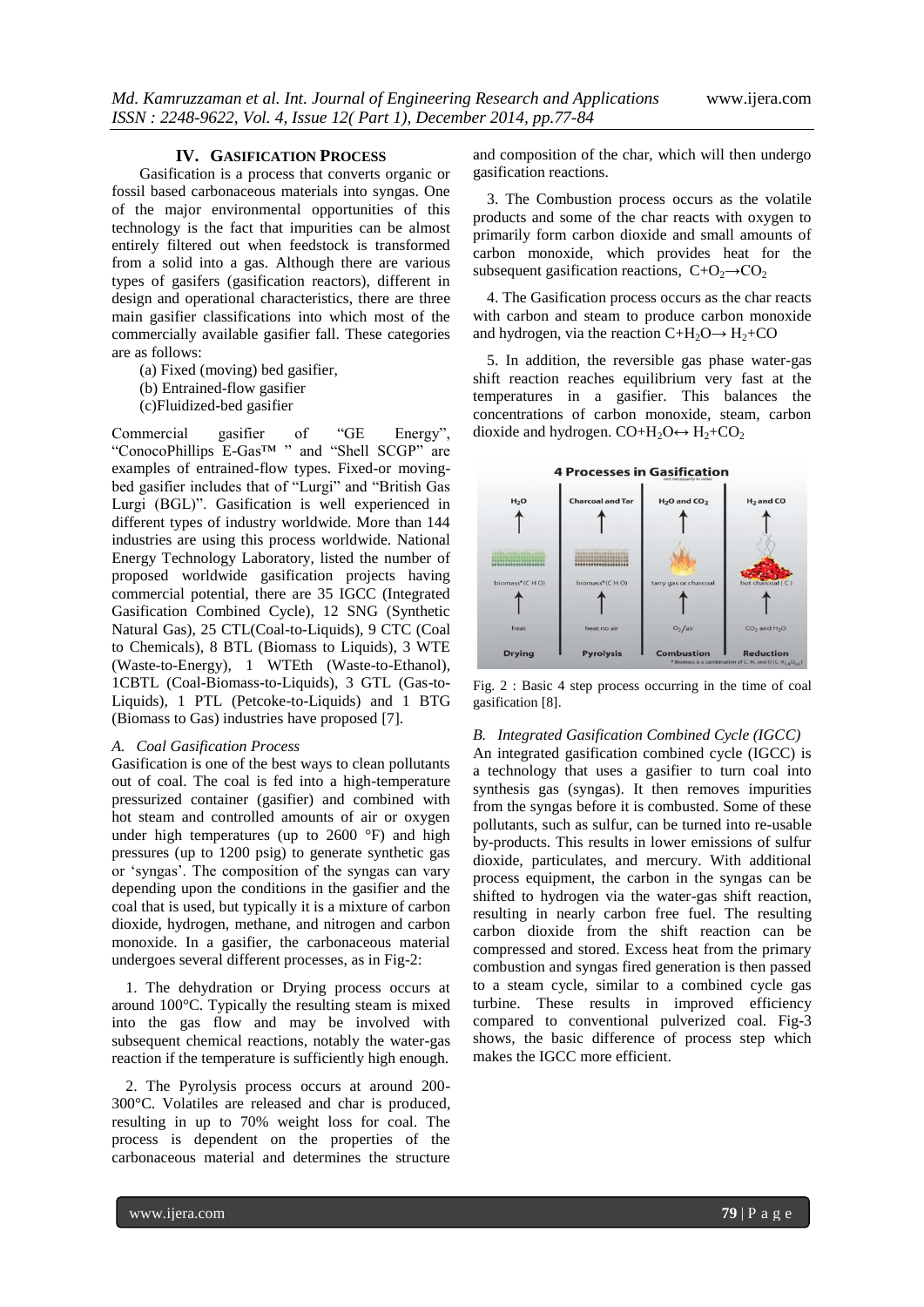### **IV. GASIFICATION PROCESS**

Gasification is a process that converts organic or fossil based carbonaceous materials into syngas. One of the major environmental opportunities of this technology is the fact that impurities can be almost entirely filtered out when feedstock is transformed from a solid into a gas. Although there are various types of gasifers (gasification reactors), different in design and operational characteristics, there are three main gasifier classifications into which most of the commercially available gasifier fall. These categories are as follows:

- (a) Fixed (moving) bed gasifier,
- (b) Entrained-flow gasifier
- (c)Fluidized-bed gasifier

Commercial gasifier of "GE Energy", "ConocoPhillips E-Gas™ " and "Shell SCGP" are examples of entrained-flow types. Fixed-or movingbed gasifier includes that of "Lurgi" and "British Gas Lurgi (BGL)". Gasification is well experienced in different types of industry worldwide. More than 144 industries are using this process worldwide. National Energy Technology Laboratory, listed the number of proposed worldwide gasification projects having commercial potential, there are 35 IGCC (Integrated Gasification Combined Cycle), 12 SNG (Synthetic Natural Gas), 25 CTL(Coal-to-Liquids), 9 CTC (Coal to Chemicals), 8 BTL (Biomass to Liquids), 3 WTE (Waste-to-Energy), 1 WTEth (Waste-to-Ethanol), 1CBTL (Coal-Biomass-to-Liquids), 3 GTL (Gas-to-Liquids), 1 PTL (Petcoke-to-Liquids) and 1 BTG (Biomass to Gas) industries have proposed [7].

#### *A. Coal Gasification Process*

Gasification is one of the best ways to clean pollutants out of coal. The coal is fed into a high-temperature pressurized container (gasifier) and combined with hot steam and controlled amounts of air or oxygen under high temperatures (up to 2600 °F) and high pressures (up to 1200 psig) to generate synthetic gas or "syngas". The composition of the syngas can vary depending upon the conditions in the gasifier and the coal that is used, but typically it is a mixture of carbon dioxide, hydrogen, methane, and nitrogen and carbon monoxide. In a gasifier, the carbonaceous material undergoes several different processes, as in Fig-2:

1. The dehydration or Drying process occurs at around 100°C. Typically the resulting steam is mixed into the gas flow and may be involved with subsequent chemical reactions, notably the water-gas reaction if the temperature is sufficiently high enough.

2. The Pyrolysis process occurs at around 200- 300°C. Volatiles are released and char is produced, resulting in up to 70% weight loss for coal. The process is dependent on the properties of the carbonaceous material and determines the structure

and composition of the char, which will then undergo gasification reactions.

3. The Combustion process occurs as the volatile products and some of the char reacts with oxygen to primarily form carbon dioxide and small amounts of carbon monoxide, which provides heat for the subsequent gasification reactions,  $C+O_2 \rightarrow CO_2$ 

4. The Gasification process occurs as the char reacts with carbon and steam to produce carbon monoxide and hydrogen, via the reaction  $C+H_2O \rightarrow H_2+CO$ 

5. In addition, the reversible gas phase water-gas shift reaction reaches equilibrium very fast at the temperatures in a gasifier. This balances the concentrations of carbon monoxide, steam, carbon dioxide and hydrogen.  $CO+H_2O \leftrightarrow H_2+CO_2$ 



Fig. 2 : Basic 4 step process occurring in the time of coal gasification [8].

# *B. Integrated Gasification Combined Cycle (IGCC)*

An integrated gasification combined cycle (IGCC) is a technology that uses a gasifier to turn coal into synthesis gas (syngas). It then removes impurities from the syngas before it is combusted. Some of these pollutants, such as sulfur, can be turned into re-usable by-products. This results in lower emissions of sulfur dioxide, particulates, and mercury. With additional process equipment, the carbon in the syngas can be shifted to hydrogen via the water-gas shift reaction, resulting in nearly carbon free fuel. The resulting carbon dioxide from the shift reaction can be compressed and stored. Excess heat from the primary combustion and syngas fired generation is then passed to a steam cycle, similar to a combined cycle gas turbine. These results in improved efficiency compared to conventional pulverized coal. Fig-3 shows, the basic difference of process step which makes the IGCC more efficient.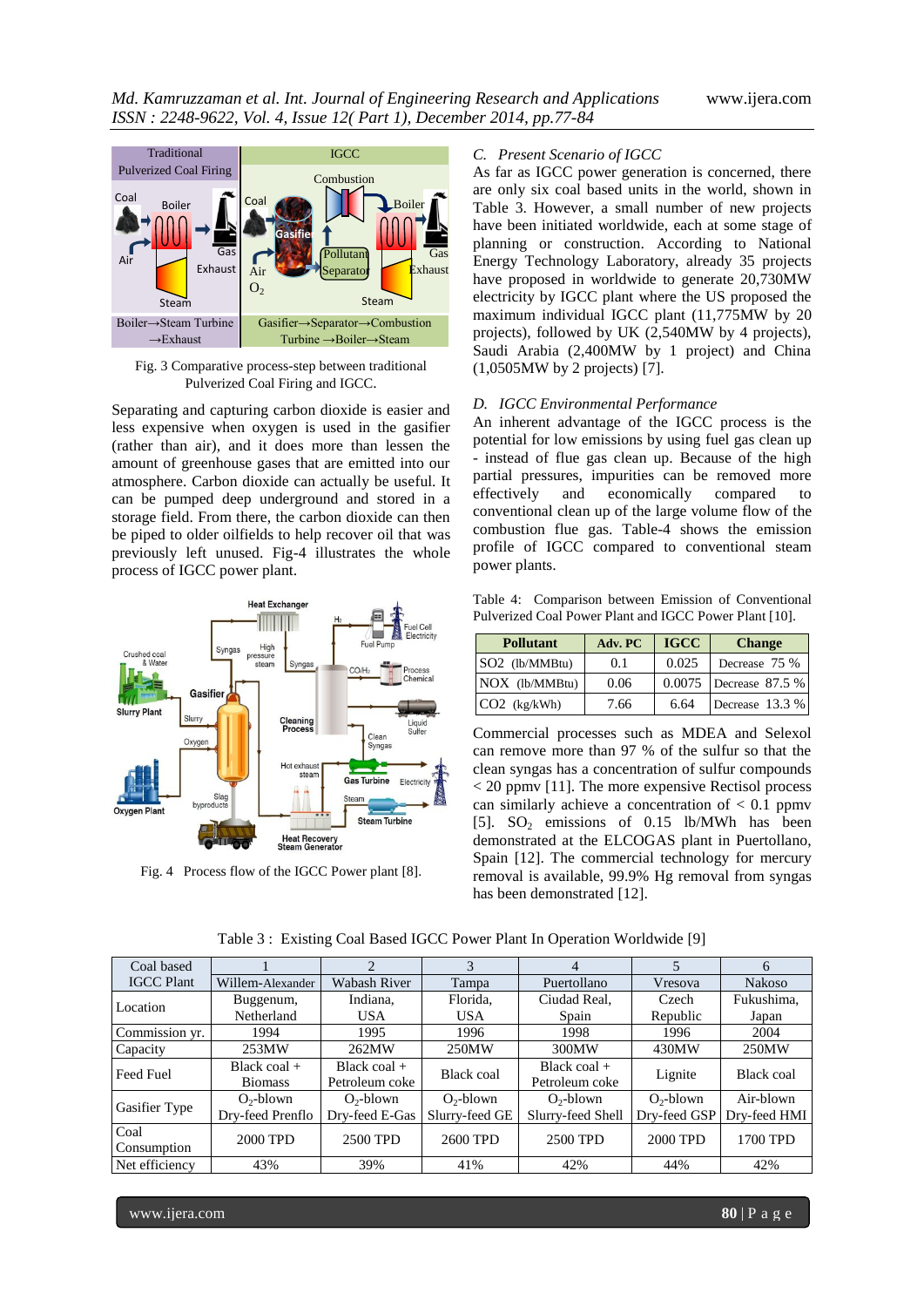

Fig. 3 Comparative process-step between traditional Pulverized Coal Firing and IGCC.

Separating and capturing carbon dioxide is easier and less expensive when oxygen is used in the gasifier (rather than air), and it does more than lessen the amount of greenhouse gases that are emitted into our atmosphere. Carbon dioxide can actually be useful. It can be pumped deep underground and stored in a storage field. From there, the carbon dioxide can then be piped to older oilfields to help recover oil that was previously left unused. Fig-4 illustrates the whole process of IGCC power plant.



Fig. 4 Process flow of the IGCC Power plant [8].

# *C. Present Scenario of IGCC*

As far as IGCC power generation is concerned, there are only six coal based units in the world, shown in Table 3. However, a small number of new projects have been initiated worldwide, each at some stage of planning or construction. According to National Energy Technology Laboratory, already 35 projects have proposed in worldwide to generate 20,730MW electricity by IGCC plant where the US proposed the maximum individual IGCC plant (11,775MW by 20 projects), followed by UK (2,540MW by 4 projects), Saudi Arabia (2,400MW by 1 project) and China (1,0505MW by 2 projects) [7].

# *D. IGCC Environmental Performance*

An inherent advantage of the IGCC process is the potential for low emissions by using fuel gas clean up - instead of flue gas clean up. Because of the high partial pressures, impurities can be removed more effectively and economically compared to conventional clean up of the large volume flow of the combustion flue gas. Table-4 shows the emission profile of IGCC compared to conventional steam power plants.

Table 4: Comparison between Emission of Conventional Pulverized Coal Power Plant and IGCC Power Plant [10].

| <b>Pollutant</b> | Adv. PC | <b>IGCC</b> | <b>Change</b>          |
|------------------|---------|-------------|------------------------|
| $SO2$ (lb/MMBtu) | 0.1     | 0.025       | Decrease 75 %          |
| $NOX$ (lb/MMBtu) | 0.06    |             | 0.0075 Decrease 87.5 % |
| $CO2$ (kg/kWh)   | 7.66    | 6.64        | Decrease 13.3 %        |

Commercial processes such as MDEA and Selexol can remove more than 97 % of the sulfur so that the clean syngas has a concentration of sulfur compounds < 20 ppmv [11]. The more expensive Rectisol process can similarly achieve a concentration of  $< 0.1$  ppmv [5].  $SO_2$  emissions of 0.15 lb/MWh has been demonstrated at the ELCOGAS plant in Puertollano, Spain [12]. The commercial technology for mercury removal is available, 99.9% Hg removal from syngas has been demonstrated [12].

| Coal based        |                  | ◠              | 3              | 4                 |              | 6             |
|-------------------|------------------|----------------|----------------|-------------------|--------------|---------------|
| <b>IGCC Plant</b> | Willem-Alexander | Wabash River   | Tampa          | Puertollano       | Vresova      | <b>Nakoso</b> |
| Location          | Buggenum,        | Indiana,       | Florida,       | Ciudad Real,      | Czech        | Fukushima,    |
|                   | Netherland       | <b>USA</b>     | <b>USA</b>     | Spain             | Republic     | Japan         |
| Commission yr.    | 1994             | 1995           | 1996           | 1998              | 1996         | 2004          |
| Capacity          | 253MW            | 262MW          | 250MW          | 300MW             | 430MW        | 250MW         |
| <b>Feed Fuel</b>  | Black coal $+$   | Black coal $+$ | Black coal     | Black coal $+$    |              | Black coal    |
|                   | <b>Biomass</b>   | Petroleum coke |                | Petroleum coke    | Lignite      |               |
|                   | $O_2$ -blown     | $O_2$ -blown   | $O_2$ -blown   | $O_2$ -blown      | $O_2$ -blown | Air-blown     |
| Gasifier Type     | Dry-feed Prenflo | Dry-feed E-Gas | Slurry-feed GE | Slurry-feed Shell | Dry-feed GSP | Dry-feed HMI  |
| Coal              | 2000 TPD         | 2500 TPD       | 2600 TPD       | 2500 TPD          | 2000 TPD     | 1700 TPD      |
| Consumption       |                  |                |                |                   |              |               |
| Net efficiency    | 43%              | 39%            | 41%            | 42%               | 44%          | 42%           |

Table 3 : Existing Coal Based IGCC Power Plant In Operation Worldwide [9]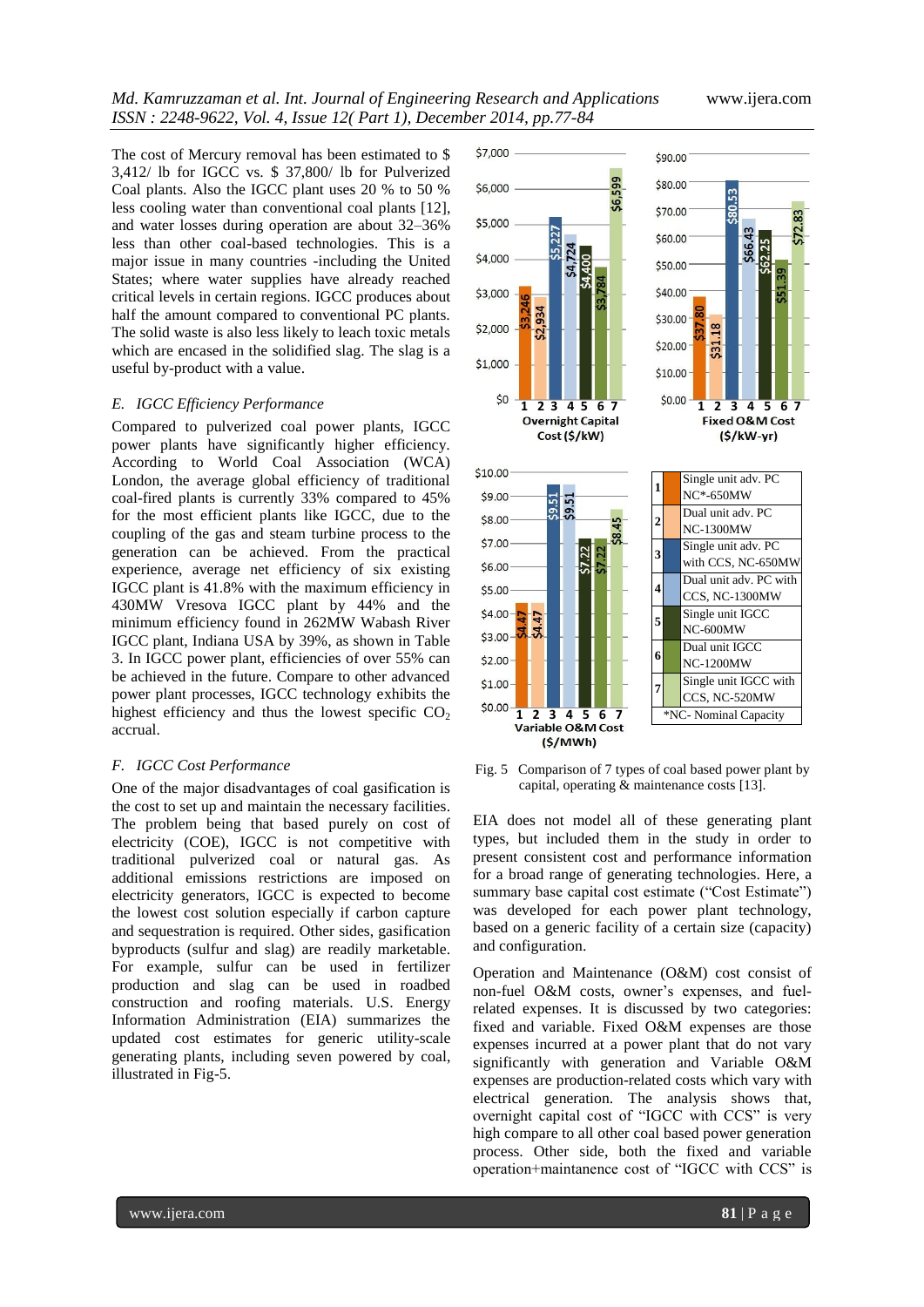The cost of Mercury removal has been estimated to \$ 3,412/ lb for IGCC vs. \$ 37,800/ lb for Pulverized Coal plants. Also the IGCC plant uses 20 % to 50 % less cooling water than conventional coal plants [12], and water losses during operation are about 32–36% less than other coal-based technologies. This is a major issue in many countries -including the United States; where water supplies have already reached critical levels in certain regions. IGCC produces about half the amount compared to conventional PC plants. The solid waste is also less likely to leach toxic metals which are encased in the solidified slag. The slag is a useful by-product with a value.

# *E. IGCC Efficiency Performance*

Compared to pulverized coal power plants, IGCC power plants have significantly higher efficiency. According to World Coal Association (WCA) London, the average global efficiency of traditional coal-fired plants is currently 33% compared to 45% for the most efficient plants like IGCC, due to the coupling of the gas and steam turbine process to the generation can be achieved. From the practical experience, average net efficiency of six existing IGCC plant is 41.8% with the maximum efficiency in 430MW Vresova IGCC plant by 44% and the minimum efficiency found in 262MW Wabash River IGCC plant, Indiana USA by 39%, as shown in Table 3. In IGCC power plant, efficiencies of over 55% can be achieved in the future. Compare to other advanced power plant processes, IGCC technology exhibits the highest efficiency and thus the lowest specific  $CO<sub>2</sub>$ accrual.

#### *F. IGCC Cost Performance*

One of the major disadvantages of coal gasification is the cost to set up and maintain the necessary facilities. The problem being that based purely on cost of electricity (COE), IGCC is not competitive with traditional pulverized coal or natural gas. As additional emissions restrictions are imposed on electricity generators, IGCC is expected to become the lowest cost solution especially if carbon capture and sequestration is required. Other sides, gasification byproducts (sulfur and slag) are readily marketable. For example, sulfur can be used in fertilizer production and slag can be used in roadbed construction and roofing materials. U.S. Energy Information Administration (EIA) summarizes the updated cost estimates for generic utility-scale generating plants, including seven powered by coal, illustrated in Fig-5.



Fig. 5 Comparison of 7 types of coal based power plant by capital, operating & maintenance costs [13].

EIA does not model all of these generating plant types, but included them in the study in order to present consistent cost and performance information for a broad range of generating technologies. Here, a summary base capital cost estimate ("Cost Estimate") was developed for each power plant technology, based on a generic facility of a certain size (capacity) and configuration.

Operation and Maintenance (O&M) cost consist of non-fuel O&M costs, owner's expenses, and fuelrelated expenses. It is discussed by two categories: fixed and variable. Fixed O&M expenses are those expenses incurred at a power plant that do not vary significantly with generation and Variable O&M expenses are production-related costs which vary with electrical generation. The analysis shows that, overnight capital cost of "IGCC with CCS" is very high compare to all other coal based power generation process. Other side, both the fixed and variable operation+maintanence cost of "IGCC with CCS" is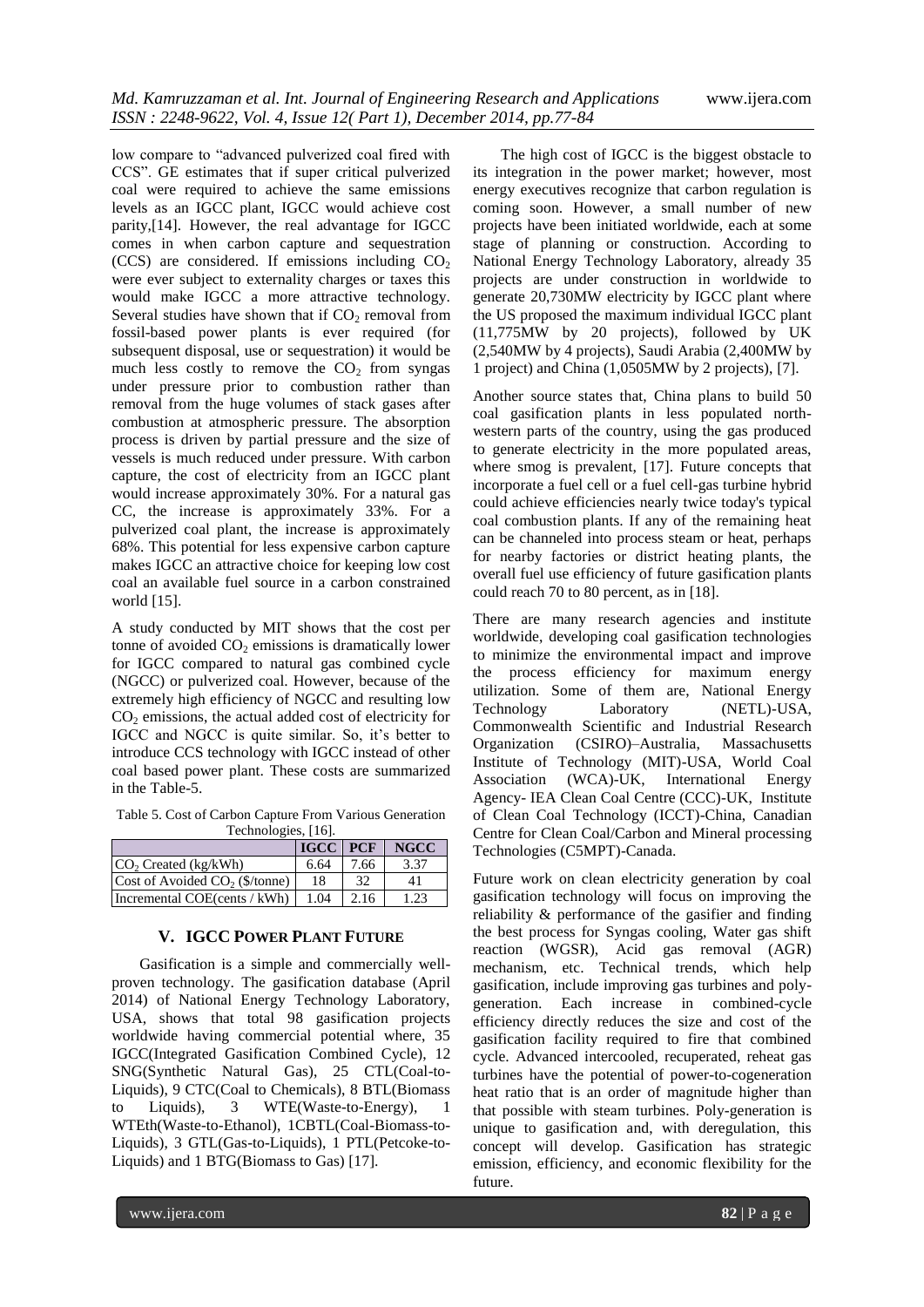low compare to "advanced pulverized coal fired with CCS". GE estimates that if super critical pulverized coal were required to achieve the same emissions levels as an IGCC plant, IGCC would achieve cost parity,[14]. However, the real advantage for IGCC comes in when carbon capture and sequestration (CCS) are considered. If emissions including  $CO<sub>2</sub>$ were ever subject to externality charges or taxes this would make IGCC a more attractive technology. Several studies have shown that if  $CO<sub>2</sub>$  removal from fossil-based power plants is ever required (for subsequent disposal, use or sequestration) it would be much less costly to remove the  $CO<sub>2</sub>$  from syngas under pressure prior to combustion rather than removal from the huge volumes of stack gases after combustion at atmospheric pressure. The absorption process is driven by partial pressure and the size of vessels is much reduced under pressure. With carbon capture, the cost of electricity from an IGCC plant would increase approximately 30%. For a natural gas CC, the increase is approximately 33%. For a pulverized coal plant, the increase is approximately 68%. This potential for less expensive carbon capture makes IGCC an attractive choice for keeping low cost coal an available fuel source in a carbon constrained world [15].

A study conducted by MIT shows that the cost per tonne of avoided  $CO<sub>2</sub>$  emissions is dramatically lower for IGCC compared to natural gas combined cycle (NGCC) or pulverized coal. However, because of the extremely high efficiency of NGCC and resulting low  $CO<sub>2</sub>$  emissions, the actual added cost of electricity for IGCC and NGCC is quite similar. So, it's better to introduce CCS technology with IGCC instead of other coal based power plant. These costs are summarized in the Table-5.

Table 5. Cost of Carbon Capture From Various Generation Technologies, [16].

|                                            | IGCC PCF |      | <b>NGCC</b> |
|--------------------------------------------|----------|------|-------------|
| $CO2$ Created (kg/kWh)                     | 6.64     | 7.66 | 3.37        |
| Cost of Avoided CO <sub>2</sub> (\$/tonne) | 18       | 32   | 41          |
| Incremental COE(cents / kWh)               | 1.04     | 2.16 | 1.23        |

# **V. IGCC POWER PLANT FUTURE**

Gasification is a simple and commercially wellproven technology. The gasification database (April 2014) of National Energy Technology Laboratory, USA, shows that total 98 gasification projects worldwide having commercial potential where, 35 IGCC(Integrated Gasification Combined Cycle), 12 SNG(Synthetic Natural Gas), 25 CTL(Coal-to-Liquids), 9 CTC(Coal to Chemicals), 8 BTL(Biomass to Liquids), 3 WTE(Waste-to-Energy), WTEth(Waste-to-Ethanol), 1CBTL(Coal-Biomass-to-Liquids), 3 GTL(Gas-to-Liquids), 1 PTL(Petcoke-to-Liquids) and 1 BTG(Biomass to Gas) [17].

The high cost of IGCC is the biggest obstacle to its integration in the power market; however, most energy executives recognize that carbon regulation is coming soon. However, a small number of new projects have been initiated worldwide, each at some stage of planning or construction. According to National Energy Technology Laboratory, already 35 projects are under construction in worldwide to generate 20,730MW electricity by IGCC plant where the US proposed the maximum individual IGCC plant (11,775MW by 20 projects), followed by UK (2,540MW by 4 projects), Saudi Arabia (2,400MW by 1 project) and China (1,0505MW by 2 projects), [7].

Another source states that, China plans to build 50 coal gasification plants in less populated northwestern parts of the country, using the gas produced to generate electricity in the more populated areas, where smog is prevalent, [17]. Future concepts that incorporate a fuel cell or a fuel cell-gas turbine hybrid could achieve efficiencies nearly twice today's typical coal combustion plants. If any of the remaining heat can be channeled into process steam or heat, perhaps for nearby factories or district heating plants, the overall fuel use efficiency of future gasification plants could reach 70 to 80 percent, as in [18].

There are many research agencies and institute worldwide, developing coal gasification technologies to minimize the environmental impact and improve the process efficiency for maximum energy utilization. Some of them are, National Energy Technology Laboratory (NETL)-USA, Commonwealth Scientific and Industrial Research Organization (CSIRO)–Australia, Massachusetts Institute of Technology (MIT)-USA, World Coal Association (WCA)-UK, International Energy Agency- IEA Clean Coal Centre (CCC)-UK, Institute of Clean Coal Technology (ICCT)-China, Canadian Centre for Clean Coal/Carbon and Mineral processing Technologies (C5MPT)-Canada.

Future work on clean electricity generation by coal gasification technology will focus on improving the reliability & performance of the gasifier and finding the best process for Syngas cooling, Water gas shift reaction (WGSR), Acid gas removal (AGR) mechanism, etc. Technical trends, which help gasification, include improving gas turbines and polygeneration. Each increase in combined-cycle efficiency directly reduces the size and cost of the gasification facility required to fire that combined cycle. Advanced intercooled, recuperated, reheat gas turbines have the potential of power-to-cogeneration heat ratio that is an order of magnitude higher than that possible with steam turbines. Poly-generation is unique to gasification and, with deregulation, this concept will develop. Gasification has strategic emission, efficiency, and economic flexibility for the future.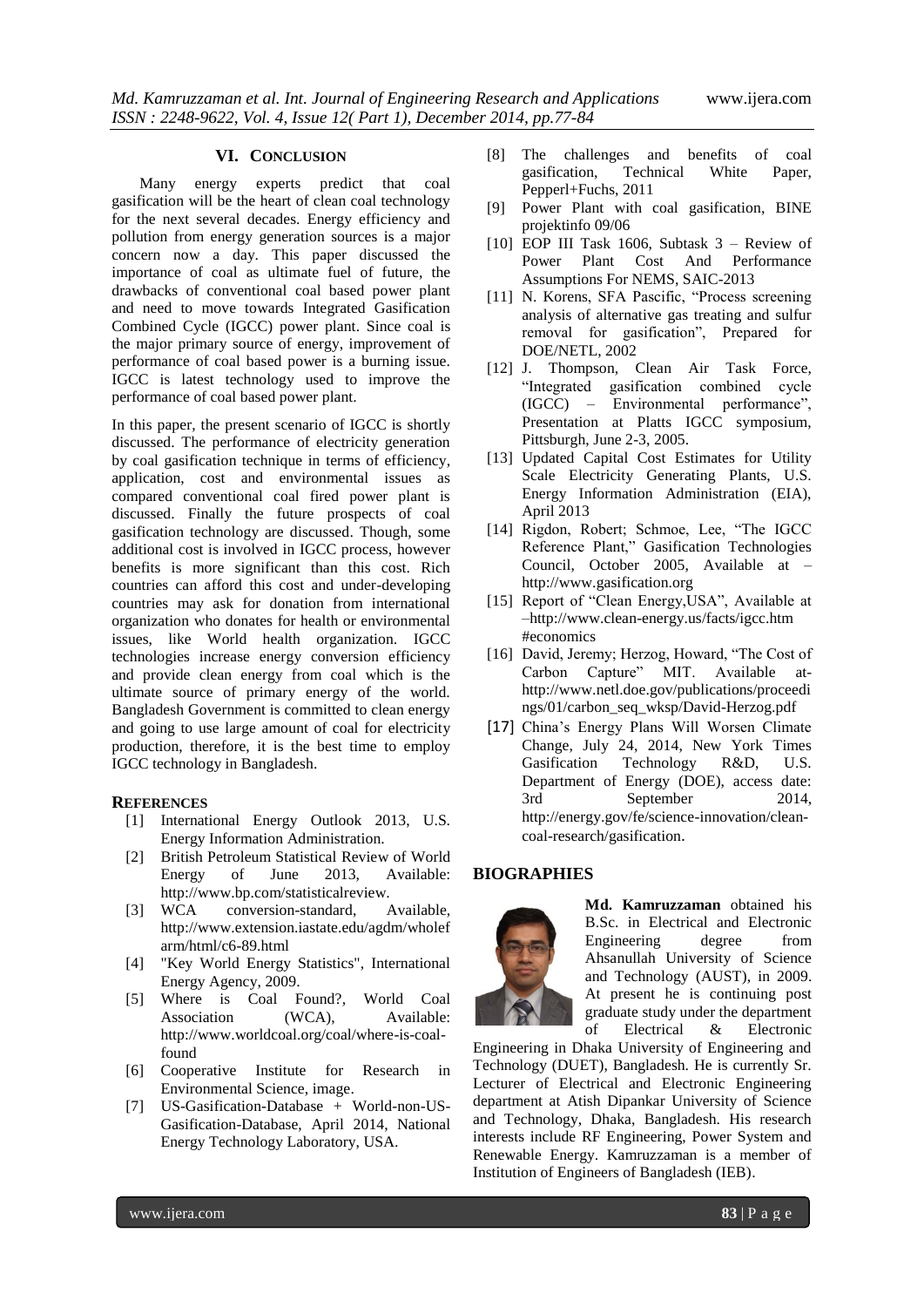#### **VI. CONCLUSION**

Many energy experts predict that coal gasification will be the heart of clean coal technology for the next several decades. Energy efficiency and pollution from energy generation sources is a major concern now a day. This paper discussed the importance of coal as ultimate fuel of future, the drawbacks of conventional coal based power plant and need to move towards Integrated Gasification Combined Cycle (IGCC) power plant. Since coal is the major primary source of energy, improvement of performance of coal based power is a burning issue. IGCC is latest technology used to improve the performance of coal based power plant.

In this paper, the present scenario of IGCC is shortly discussed. The performance of electricity generation by coal gasification technique in terms of efficiency, application, cost and environmental issues as compared conventional coal fired power plant is discussed. Finally the future prospects of coal gasification technology are discussed. Though, some additional cost is involved in IGCC process, however benefits is more significant than this cost. Rich countries can afford this cost and under-developing countries may ask for donation from international organization who donates for health or environmental issues, like World health organization. IGCC technologies increase energy conversion efficiency and provide clean energy from coal which is the ultimate source of primary energy of the world. Bangladesh Government is committed to clean energy and going to use large amount of coal for electricity production, therefore, it is the best time to employ IGCC technology in Bangladesh.

#### **REFERENCES**

- [1] International Energy Outlook 2013, U.S. Energy Information Administration.
- [2] British Petroleum Statistical Review of World Energy of June 2013, Available: http://www.bp.com/statisticalreview.
- [3] WCA conversion-standard, Available, http://www.extension.iastate.edu/agdm/wholef arm/html/c6-89.html
- [4] "Key World Energy Statistics", International Energy Agency, 2009.
- [5] Where is Coal Found?, World Coal Association (WCA), Available: http://www.worldcoal.org/coal/where-is-coalfound
- [6] Cooperative Institute for Research in Environmental Science, image.
- [7] US-Gasification-Database + World-non-US-Gasification-Database, April 2014, National Energy Technology Laboratory, USA.
- [8] The challenges and benefits of coal gasification, Technical White Paper, Pepperl+Fuchs, 2011
- [9] Power Plant with coal gasification, BINE projektinfo 09/06
- [10] EOP III Task 1606, Subtask  $3$  Review of Power Plant Cost And Performance Assumptions For NEMS, SAIC-2013
- [11] N. Korens, SFA Pascific, "Process screening analysis of alternative gas treating and sulfur removal for gasification", Prepared for DOE/NETL, 2002
- [12] J. Thompson, Clean Air Task Force, "Integrated gasification combined cycle (IGCC) – Environmental performance", Presentation at Platts IGCC symposium, Pittsburgh, June 2-3, 2005.
- [13] Updated Capital Cost Estimates for Utility Scale Electricity Generating Plants, U.S. Energy Information Administration (EIA), April 2013
- [14] Rigdon, Robert; Schmoe, Lee, "The IGCC Reference Plant," Gasification Technologies Council, October 2005, Available at – http://www.gasification.org
- [15] Report of "Clean Energy, USA", Available at –http://www.clean-energy.us/facts/igcc.htm #economics
- [16] David, Jeremy; Herzog, Howard, "The Cost of Carbon Capture" MIT. Available athttp://www.netl.doe.gov/publications/proceedi ngs/01/carbon\_seq\_wksp/David-Herzog.pdf
- [17] China's Energy Plans Will Worsen Climate Change, July 24, 2014, New York Times Gasification Technology R&D, U.S. Department of Energy (DOE), access date: 3rd September 2014, http://energy.gov/fe/science-innovation/cleancoal-research/gasification.

# **BIOGRAPHIES**



**Md. Kamruzzaman** obtained his B.Sc. in Electrical and Electronic Engineering degree from Ahsanullah University of Science and Technology (AUST), in 2009. At present he is continuing post graduate study under the department of Electrical & Electronic

Engineering in Dhaka University of Engineering and Technology (DUET), Bangladesh. He is currently Sr. Lecturer of Electrical and Electronic Engineering department at Atish Dipankar University of Science and Technology, Dhaka, Bangladesh. His research interests include RF Engineering, Power System and Renewable Energy. Kamruzzaman is a member of Institution of Engineers of Bangladesh (IEB).